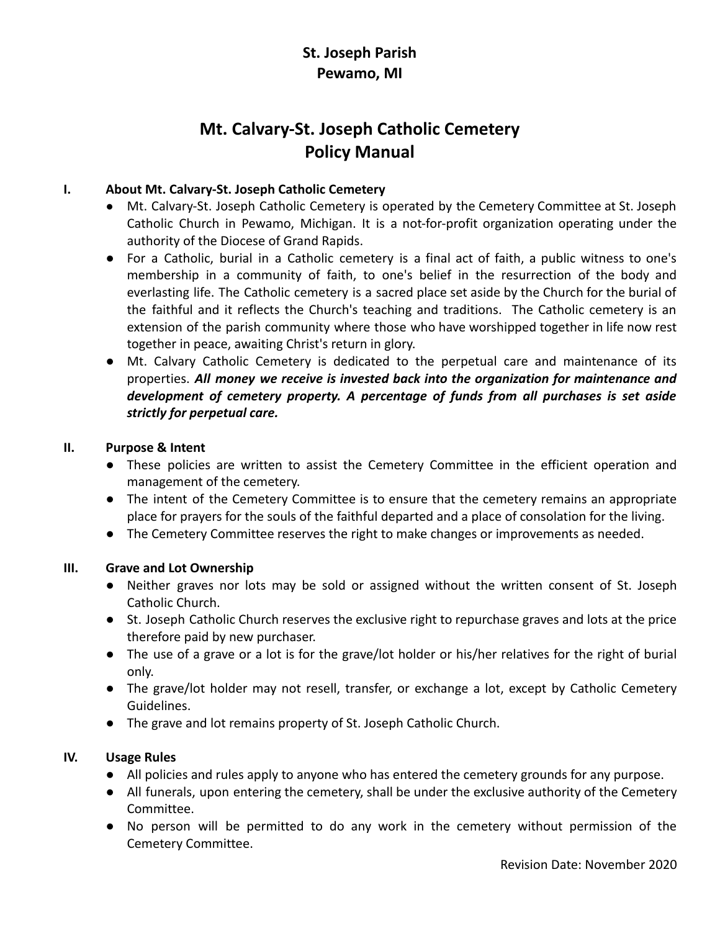# **St. Joseph Parish Pewamo, MI**

# **Mt. Calvary-St. Joseph Catholic Cemetery Policy Manual**

# **I. About Mt. Calvary-St. Joseph Catholic Cemetery**

- Mt. Calvary-St. Joseph Catholic Cemetery is operated by the Cemetery Committee at St. Joseph Catholic Church in Pewamo, Michigan. It is a not-for-profit organization operating under the authority of the Diocese of Grand Rapids.
- For a Catholic, burial in a Catholic cemetery is a final act of faith, a public witness to one's membership in a community of faith, to one's belief in the resurrection of the body and everlasting life. The Catholic cemetery is a sacred place set aside by the Church for the burial of the faithful and it reflects the Church's teaching and traditions. The Catholic cemetery is an extension of the parish community where those who have worshipped together in life now rest together in peace, awaiting Christ's return in glory.
- Mt. Calvary Catholic Cemetery is dedicated to the perpetual care and maintenance of its properties. *All money we receive is invested back into the organization for maintenance and development of cemetery property. A percentage of funds from all purchases is set aside strictly for perpetual care.*

# **II. Purpose & Intent**

- These policies are written to assist the Cemetery Committee in the efficient operation and management of the cemetery.
- The intent of the Cemetery Committee is to ensure that the cemetery remains an appropriate place for prayers for the souls of the faithful departed and a place of consolation for the living.
- The Cemetery Committee reserves the right to make changes or improvements as needed.

# **III. Grave and Lot Ownership**

- Neither graves nor lots may be sold or assigned without the written consent of St. Joseph Catholic Church.
- St. Joseph Catholic Church reserves the exclusive right to repurchase graves and lots at the price therefore paid by new purchaser.
- The use of a grave or a lot is for the grave/lot holder or his/her relatives for the right of burial only.
- The grave/lot holder may not resell, transfer, or exchange a lot, except by Catholic Cemetery Guidelines.
- The grave and lot remains property of St. Joseph Catholic Church.

# **IV. Usage Rules**

- All policies and rules apply to anyone who has entered the cemetery grounds for any purpose.
- All funerals, upon entering the cemetery, shall be under the exclusive authority of the Cemetery Committee.
- No person will be permitted to do any work in the cemetery without permission of the Cemetery Committee.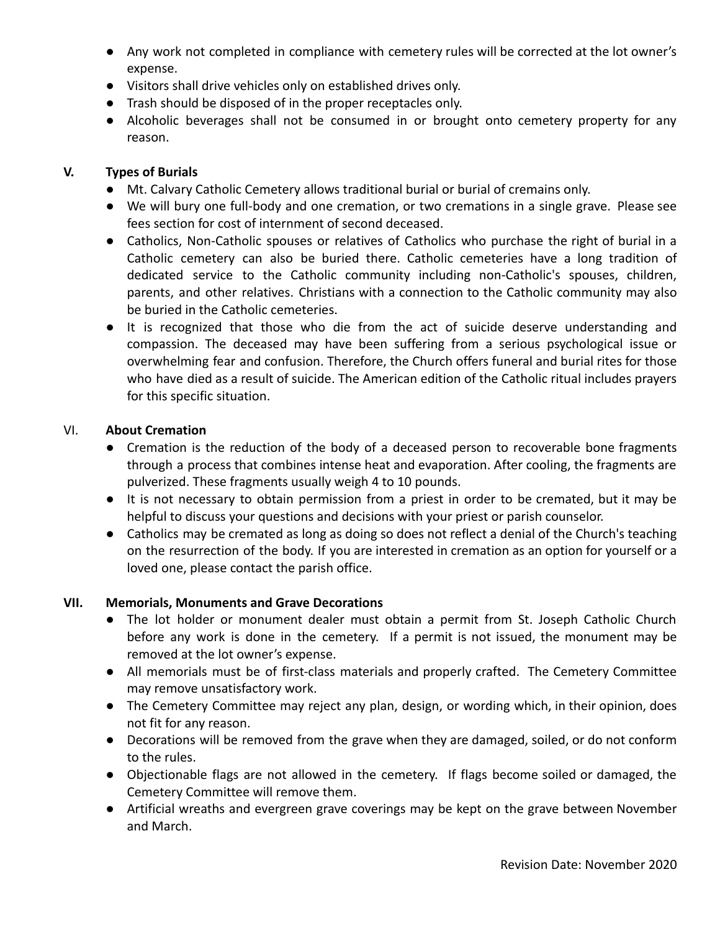- Any work not completed in compliance with cemetery rules will be corrected at the lot owner's expense.
- Visitors shall drive vehicles only on established drives only.
- Trash should be disposed of in the proper receptacles only.
- Alcoholic beverages shall not be consumed in or brought onto cemetery property for any reason.

#### **V. Types of Burials**

- Mt. Calvary Catholic Cemetery allows traditional burial or burial of cremains only.
- We will bury one full-body and one cremation, or two cremations in a single grave. Please see fees section for cost of internment of second deceased.
- Catholics, Non-Catholic spouses or relatives of Catholics who purchase the right of burial in a Catholic cemetery can also be buried there. Catholic cemeteries have a long tradition of dedicated service to the Catholic community including non-Catholic's spouses, children, parents, and other relatives. Christians with a connection to the Catholic community may also be buried in the Catholic cemeteries.
- It is recognized that those who die from the act of suicide deserve understanding and compassion. The deceased may have been suffering from a serious psychological issue or overwhelming fear and confusion. Therefore, the Church offers funeral and burial rites for those who have died as a result of suicide. The American edition of the Catholic ritual includes prayers for this specific situation.

#### VI. **About Cremation**

- Cremation is the reduction of the body of a deceased person to recoverable bone fragments through a process that combines intense heat and evaporation. After cooling, the fragments are pulverized. These fragments usually weigh 4 to 10 pounds.
- It is not necessary to obtain permission from a priest in order to be cremated, but it may be helpful to discuss your questions and decisions with your priest or parish counselor.
- Catholics may be cremated as long as doing so does not reflect a denial of the Church's teaching on the resurrection of the body. If you are interested in cremation as an option for yourself or a loved one, please contact the parish office.

#### **VII. Memorials, Monuments and Grave Decorations**

- The lot holder or monument dealer must obtain a permit from St. Joseph Catholic Church before any work is done in the cemetery. If a permit is not issued, the monument may be removed at the lot owner's expense.
- All memorials must be of first-class materials and properly crafted. The Cemetery Committee may remove unsatisfactory work.
- The Cemetery Committee may reject any plan, design, or wording which, in their opinion, does not fit for any reason.
- Decorations will be removed from the grave when they are damaged, soiled, or do not conform to the rules.
- Objectionable flags are not allowed in the cemetery. If flags become soiled or damaged, the Cemetery Committee will remove them.
- Artificial wreaths and evergreen grave coverings may be kept on the grave between November and March.